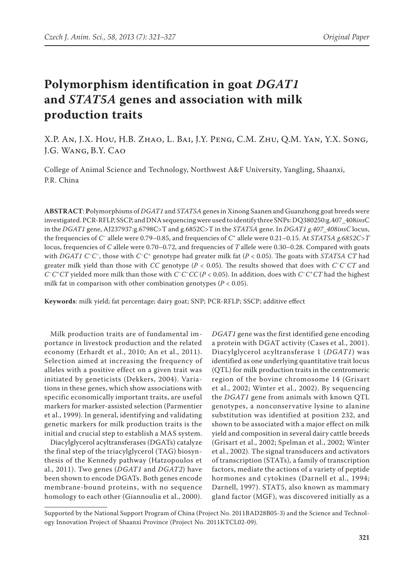# **Polymorphism identification in goat** *DGAT1* **and** *STAT5A* **genes and association with milk production traits**

X.P. An, J.X. Hou, H.B. Zhao, L. Bai, J.Y. Peng, C.M. Zhu, Q.M. Yan, Y.X. Song, J.G. Wang, B.Y. Cao

College of Animal Science and Technology, Northwest A&F University, Yangling, Shaanxi, P.R. China

**ABSTRACT**: **P**olymorphisms of *DGAT1* and *STAT5A* genes in Xinong Saanen and Guanzhong goat breeds were investigated. PCR-RFLP, SSCP, and DNA sequencing were used to identify three SNPs: DQ380250:g.407\_408*ins*C in the *DGAT1* gene, AJ237937:g.6798C>T and g.6852C>T in the *STAT5A* gene. In *DGAT1 g.407\_408insC* locus, the frequencies of *C–* allele were 0.79–0.85, and frequencies of *C<sup>+</sup>* allele were 0.21–0.15. At *STAT5A g.6852C>T* locus, frequencies of *C* allele were 0.70–0.72, and frequencies of *T* allele were 0.30–0.28. Compared with goats with *DGAT1 C–C–*, those with *C–C+* genotype had greater milk fat (*P* < 0.05). The goats with *STAT5A CT* had greater milk yield than those with *CC* genotype (*P* < 0.05). The results showed that does with *C–C–CT* and *C–C+CT* yielded more milk than those with *C–C–CC* (*P* < 0.05). In addition, does with *C–C+CT* had the highest milk fat in comparison with other combination genotypes (*P* < 0.05).

**Keywords**: milk yield; fat percentage; dairy goat; SNP; PCR-RFLP; SSCP; additive effect

Milk production traits are of fundamental importance in livestock production and the related economy (Erhardt et al., 2010; An et al., 2011). Selection aimed at increasing the frequency of alleles with a positive effect on a given trait was initiated by geneticists (Dekkers, 2004). Variations in these genes, which show associations with specific economically important traits, are useful markers for marker-assisted selection (Parmentier et al., 1999). In general, identifying and validating genetic markers for milk production traits is the initial and crucial step to establish a MAS system.

Diacylglycerol acyltransferases (DGATs) catalyze the final step of the triacylglycerol (TAG) biosynthesis of the Kennedy pathway (Hatzopoulos et al., 2011). Two genes (*DGAT1* and *DGAT2*) have been shown to encode DGATs. Both genes encode membrane-bound proteins, with no sequence homology to each other (Giannoulia et al., 2000). *DGAT1* gene was the first identified gene encoding a protein with DGAT activity (Cases et al., 2001). Diacylglycerol acyltransferase 1 (*DGAT1*) was identified as one underlying quantitative trait locus (QTL) for milk production traits in the centromeric region of the bovine chromosome 14 (Grisart et al., 2002; Winter et al., 2002). By sequencing the *DGAT1* gene from animals with known QTL genotypes, a nonconservative lysine to alanine substitution was identified at position 232, and shown to be associated with a major effect on milk yield and composition in several dairy cattle breeds (Grisart et al., 2002; Spelman et al., 2002; Winter et al., 2002). The signal transducers and activators of transcription (STATs), a family of transcription factors, mediate the actions of a variety of peptide hormones and cytokines (Darnell et al., 1994; Darnell, 1997). STAT5, also known as mammary gland factor (MGF), was discovered initially as a

Supported by the National Support Program of China (Project No. 2011BAD28B05-3) and the Science and Technology Innovation Project of Shaanxi Province (Project No. 2011KTCL02-09).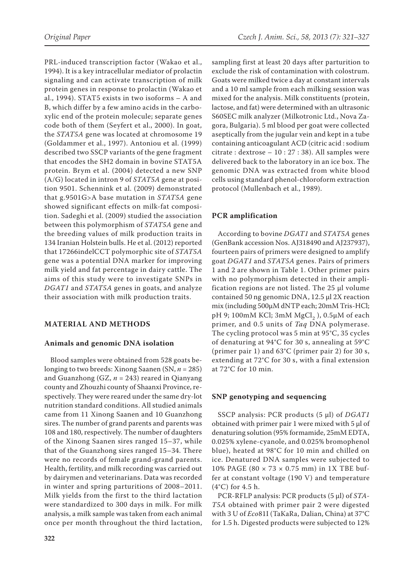PRL-induced transcription factor (Wakao et al., 1994). It is a key intracellular mediator of prolactin signaling and can activate transcription of milk protein genes in response to prolactin (Wakao et al., 1994). STAT5 exists in two isoforms – A and B, which differ by a few amino acids in the carboxylic end of the protein molecule; separate genes code both of them (Seyfert et al., 2000). In goat, the *STAT5A* gene was located at chromosome 19 (Goldammer et al., 1997). Antoniou et al. (1999) described two SSCP variants of the gene fragment that encodes the SH2 domain in bovine STAT5A protein. Brym et al. (2004) detected a new SNP (A/G) located in intron 9 of *STAT5A* gene at position 9501. Schennink et al. (2009) demonstrated that g.9501G>A base mutation in *STAT5A* gene showed significant effects on milk-fat composition. Sadeghi et al. (2009) studied the association between this polymorphism of *STAT5A* gene and the breeding values of milk production traits in 134 Iranian Holstein bulls. He et al. (2012) reported that 17266indelCCT polymorphic site of *STAT5A* gene was a potential DNA marker for improving milk yield and fat percentage in dairy cattle. The aims of this study were to investigate SNPs in *DGAT1* and *STAT5A* genes in goats, and analyze their association with milk production traits.

## **MATERIAL AND METHODS**

#### **Animals and genomic DNA isolation**

Blood samples were obtained from 528 goats belonging to two breeds: Xinong Saanen (SN, *n* = 285) and Guanzhong (GZ, *n* = 243) reared in Qianyang county and Zhouzhi county of Shaanxi Province, respectively. They were reared under the same dry-lot nutrition standard conditions. All studied animals came from 11 Xinong Saanen and 10 Guanzhong sires. The number of grand parents and parents was 108 and 180, respectively. The number of daughters of the Xinong Saanen sires ranged 15–37, while that of the Guanzhong sires ranged 15–34. There were no records of female grand-grand parents. Health, fertility, and milk recording was carried out by dairymen and veterinarians. Data was recorded in winter and spring parturitions of 2008–2011. Milk yields from the first to the third lactation were standardized to 300 days in milk. For milk analysis, a milk sample was taken from each animal once per month throughout the third lactation, sampling first at least 20 days after parturition to exclude the risk of contamination with colostrum. Goats were milked twice a day at constant intervals and a 10 ml sample from each milking session was mixed for the analysis. Milk constituents (protein, lactose, and fat) were determined with an ultrasonic S60SEC milk analyzer (Milkotronic Ltd., Nova Zagora, Bulgaria). 5 ml blood per goat were collected aseptically from the jugular vein and kept in a tube containing anticoagulant ACD (citric acid : sodium citrate : dextrose – 10 : 27 : 38). All samples were delivered back to the laboratory in an ice box. The genomic DNA was extracted from white blood cells using standard phenol-chloroform extraction protocol (Mullenbach et al., 1989).

## **PCR amplification**

According to bovine *DGAT1* and *STAT5A* genes (GenBank accession Nos. AJ318490 and AJ237937), fourteen pairs of primers were designed to amplify goat *DGAT1* and *STAT5A* genes. Pairs of primers 1 and 2 are shown in Table 1. Other primer pairs with no polymorphism detected in their amplification regions are not listed. The 25 μl volume contained 50 ng genomic DNA, 12.5 µl 2X reaction mix (including 500µM dNTP each; 20mM Tris-HCl; pH 9; 100mM KCl; 3mM  $MgCl<sub>2</sub>$ ), 0.5µM of each primer, and 0.5 units of *Taq* DNA polymerase. The cycling protocol was 5 min at 95°C, 35 cycles of denaturing at 94°C for 30 s, annealing at 59°C (primer pair 1) and 63°C (primer pair 2) for 30 s, extending at 72°C for 30 s, with a final extension at 72°C for 10 min.

#### **SNP genotyping and sequencing**

SSCP analysis: PCR products (5 μl) of *DGAT1* obtained with primer pair 1 were mixed with 5 μl of denaturing solution (95% formamide, 25mM EDTA, 0.025% xylene-cyanole, and 0.025% bromophenol blue), heated at 98°C for 10 min and chilled on ice. Denatured DNA samples were subjected to 10% PAGE (80 × 73 × 0.75 mm) in 1X TBE buffer at constant voltage (190 V) and temperature (4°C) for 4.5 h.

PCR-RFLP analysis: PCR products (5 μl) of *STA-T5A* obtained with primer pair 2 were digested with 3 U of *Eco*81I (TaKaRa, Dalian, China) at 37°C for 1.5 h. Digested products were subjected to 12%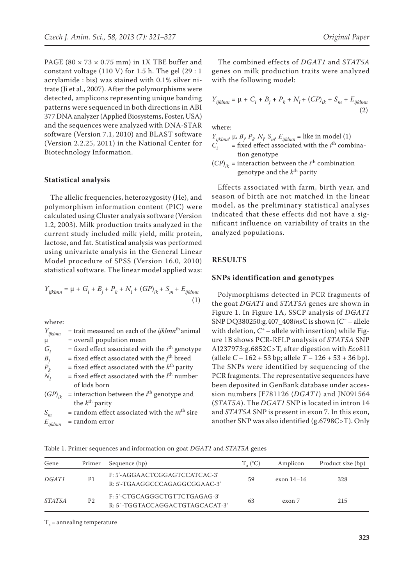PAGE (80  $\times$  73  $\times$  0.75 mm) in 1X TBE buffer and constant voltage (110 V) for 1.5 h. The gel  $(29:1)$ acrylamide : bis) was stained with 0.1% silver nitrate (Ji et al., 2007). After the polymorphisms were detected, amplicons representing unique banding patterns were sequenced in both directions in ABI 377 DNA analyzer (Applied Biosystems, Foster, USA) and the sequences were analyzed with DNA-STAR software (Version 7.1, 2010) and BLAST software (Version 2.2.25, 2011) in the National Center for Biotechnology Information.

### **Statistical analysis**

The allelic frequencies, heterozygosity (He), and polymorphism information content (PIC) were calculated using Cluster analysis software (Version 1.2, 2003). Milk production traits analyzed in the current study included milk yield, milk protein, lactose, and fat. Statistical analysis was performed using univariate analysis in the General Linear Model procedure of SPSS (Version 16.0, 2010) statistical software. The linear model applied was:

$$
Y_{ijklmn} = \mu + G_i + B_j + P_k + N_l + (GP)_{ik} + S_m + E_{ijklmn}
$$
\n(1)

where:

| = trait measured on each of the $ijklmn$ <sup>th</sup> animal |
|---------------------------------------------------------------|
| = overall population mean                                     |
| = fixed effect associated with the $ith$ genotype             |
| = fixed effect associated with the $jth$ breed                |
| = fixed effect associated with the $k^{\text{th}}$ parity     |
| = fixed effect associated with the $lth$ number               |
| of kids born                                                  |
| = interaction between the $ith$ genotype and                  |
| the $k^{\text{th}}$ parity                                    |
| = random effect associated with the $mth$ sire                |
| = random error                                                |
|                                                               |

The combined effects of *DGAT1* and *STAT5A*  genes on milk production traits were analyzed with the following model:

$$
Y_{ijklmn} = \mu + C_i + B_j + P_k + N_l + (CP)_{ik} + S_m + E_{ijklmn}
$$
\n(2)

where:

 $Y_{ijklmn'}$ ,  $\mu$ ,  $B_j$ ,  $P_k$ ,  $N_p$ ,  $S_{m'}$ ,  $E_{ijklmn}$  = like in model (1)  $C_i$  = fixed effect associated with the *i*<sup>th</sup> combination genotype

 $(CP)_{ik}$  = interaction between the *i*<sup>th</sup> combination genotype and the *k*th parity

Effects associated with farm, birth year, and season of birth are not matched in the linear model, as the preliminary statistical analyses indicated that these effects did not have a significant influence on variability of traits in the analyzed populations.

## **RESULTS**

#### **SNPs identification and genotypes**

Polymorphisms detected in PCR fragments of the goat *DGAT1* and *STAT5A* genes are shown in Figure 1. In Figure 1A, SSCP analysis of *DGAT1* SNP DQ380250:g.407\_408*ins*C is shown (*C–* – allele with deletion,  $C^+$  – allele with insertion) while Figure 1B shows PCR-RFLP analysis of *STAT5A* SNP AJ237973:g.6852C>T, after digestion with *Eco*81I (allele *C* – 162 + 53 bp; allele *T* – 126 + 53 + 36 bp). The SNPs were identified by sequencing of the PCR fragments. The representative sequences have been deposited in GenBank database under accession numbers JF781126 (*DGAT1*) and JN091564 (*STAT5A*). The *DGAT1* SNP is located in intron 14 and *STAT5A* SNP is present in exon 7. In this exon, another SNP was also identified (g.6798C>T). Only

Table 1. Primer sequences and information on goat *DGAT1* and *STAT5A* genes

| Gene          | Primer         | Sequence (bp)                                                     | $T_{\alpha}$ (°C) | Amplicon     | Product size (bp) |
|---------------|----------------|-------------------------------------------------------------------|-------------------|--------------|-------------------|
| <i>DGAT1</i>  | P1             | F: 5'-AGGAACTCGGAGTCCATCAC-3'<br>$R: 5'$ -TGAAGGCCCAGAGGCGGAAC-3' | 59                | exon $14-16$ | 328               |
| <i>STAT5A</i> | P <sub>2</sub> | F: 5'-CTGCAGGGCTGTTCTGAGAG-3'<br>R: 5'-TGGTACCAGGACTGTAGCACAT-3'  | 63                | exon 7       | 215               |

 $T<sub>a</sub>$  = annealing temperature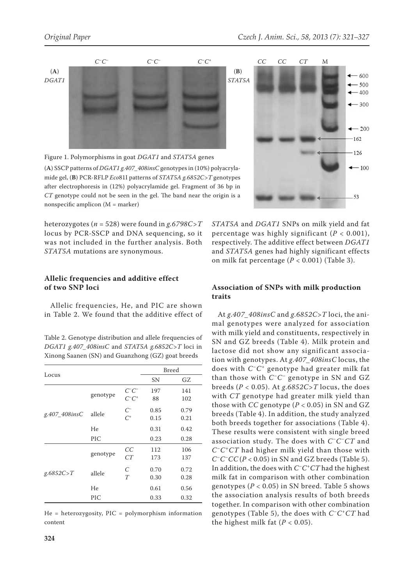

Figure 1. Polymorphisms in goat *DGAT1* and *STAT5A* genes

(**A**) SSCP patterns of *DGAT1 g.407\_408insC* genotypes in (10%) polyacrylamide gel, (**B**) PCR-RFLP *Eco*81I patterns of *STAT5A g.6852C>T* genotypes after electrophoresis in (12%) polyacrylamide gel. Fragment of 36 bp in *CT* genotype could not be seen in the gel. The band near the origin is a nonspecific amplicon (M = marker)

heterozygotes (*n* = 528) were found in *g.6798C>T* locus by PCR-SSCP and DNA sequencing, so it was not included in the further analysis. Both *STAT5A* mutations are synonymous.

# **Allelic frequencies and additive effect of two SNP loci**

Allelic frequencies, He, and PIC are shown in Table 2. We found that the additive effect of

Table 2. Genotype distribution and allele frequencies of *DGAT1 g.407\_408insC* and *STAT5A g.6852C>T* loci in Xinong Saanen (SN) and Guanzhong (GZ) goat breeds

|               |          |                          | <b>Breed</b> |              |  |
|---------------|----------|--------------------------|--------------|--------------|--|
| Locus         | SΝ       | GZ                       |              |              |  |
|               | genotype | $C^-C^-$<br>$C^{-}C^{+}$ | 197<br>88    | 141<br>102   |  |
| g.407 408insC | allele   | $C^{-}$<br>$C^+$         | 0.85<br>0.15 | 0.79<br>0.21 |  |
|               | He       |                          | 0.31         | 0.42         |  |
|               | PIC      |                          | 0.23         | 0.28         |  |
|               | genotype | CC<br>CT                 | 112<br>173   | 106<br>137   |  |
| g.6852C > T   | allele   | C<br>T                   | 0.70<br>0.30 | 0.72<br>0.28 |  |
|               | He       |                          | 0.61         | 0.56         |  |
|               | PIC      |                          | 0.33         | 0.32         |  |

 $He = heterozygosity, PIC = polymorphism information$ content



*STAT5A* and *DGAT1* SNPs on milk yield and fat percentage was highly significant (*P* < 0.001), respectively. The additive effect between *DGAT1* and *STAT5A* genes had highly significant effects on milk fat percentage (*P* < 0.001) (Table 3).

# **Association of SNPs with milk production traits**

At *g*.*407\_408insC* and *g*.*6852C*>*T* loci, the animal genotypes were analyzed for association with milk yield and constituents, respectively in SN and GZ breeds (Table 4). Milk protein and lactose did not show any significant association with genotypes. At *g*.*407\_408insC* locus, the does with *C–C+* genotype had greater milk fat than those with *C–C–* genotype in SN and GZ breeds ( $P < 0.05$ ). At  $g.6852C > T$  locus, the does with *CT* genotype had greater milk yield than those with  $CC$  genotype ( $P < 0.05$ ) in SN and GZ breeds (Table 4). In addition, the study analyzed both breeds together for associations (Table 4). These results were consistent with single breed association study. The does with *C–C–CT* and *C–C+CT* had higher milk yield than those with  $C$ <sup>–</sup> $C$ <sup>–</sup> $C$ </sup> $C$  ( $P$  < 0.05) in SN and GZ breeds (Table 5). In addition, the does with *C–C+CT* had the highest milk fat in comparison with other combination genotypes ( $P < 0.05$ ) in SN breed. Table 5 shows the association analysis results of both breeds together. In comparison with other combination genotypes (Table 5), the does with *C–C+CT* had the highest milk fat  $(P < 0.05)$ .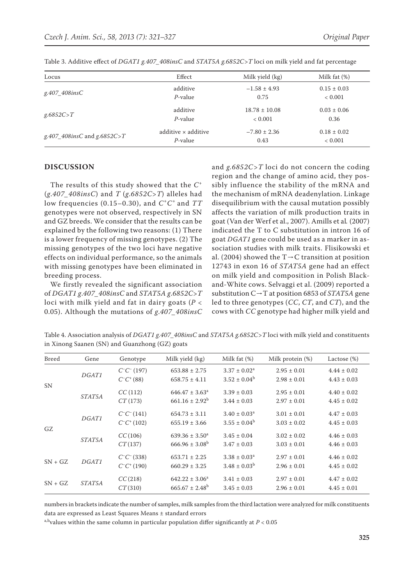| Locus                       | Effect              | Milk yield (kg)   | Milk fat $(\%)$ |
|-----------------------------|---------------------|-------------------|-----------------|
| g.407 408insC               | additive            | $-1.58 \pm 4.93$  | $0.15 \pm 0.03$ |
|                             | $P$ -value          | 0.75              | < 0.001         |
| g.6852C > T                 | additive            | $18.78 \pm 10.08$ | $0.03 \pm 0.06$ |
|                             | $P$ -value          | < 0.001           | 0.36            |
| g.407_408insC and g.6852C>T | additive x additive | $-7.80 \pm 2.36$  | $0.18 \pm 0.02$ |
|                             | $P$ -value          | 0.43              | < 0.001         |

Table 3. Additive effect of *DGAT1 g.407\_408insC* and *STAT5A g.6852C>T* loci on milk yield and fat percentage

#### **DISCUSSION**

The results of this study showed that the *C<sup>+</sup>* (*g*.*407\_408insC*) and *T* (*g*.*6852C*>*T*) alleles had low frequencies (0.15–0.30), and *C+C+* and *TT* genotypes were not observed, respectively in SN and GZ breeds. We consider that the results can be explained by the following two reasons: (1) There is a lower frequency of missing genotypes. (2) The missing genotypes of the two loci have negative effects on individual performance, so the animals with missing genotypes have been eliminated in breeding process.

We firstly revealed the significant association of *DGAT1 g*.*407\_408insC* and *STAT5A g*.*6852C*>*T*  loci with milk yield and fat in dairy goats (*P* < 0.05). Although the mutations of *g*.*407\_408insC*

and *g.6852C>T* loci do not concern the coding region and the change of amino acid, they possibly influence the stability of the mRNA and the mechanism of mRNA deadenylation. Linkage disequilibrium with the causal mutation possibly affects the variation of milk production traits in goat (Van der Werf et al., 2007). Amills et al*.* (2007) indicated the T to C substitution in intron 16 of goat *DGAT1* gene could be used as a marker in association studies with milk traits. Flisikowski et al. (2004) showed the T $\rightarrow$ C transition at position 12743 in exon 16 of *STAT5A* gene had an effect on milk yield and composition in Polish Blackand-White cows. Selvaggi et al. (2009) reported a substitution C→T at position 6853 of *STAT5A* gene led to three genotypes (*CC*, *CT*, and *CT*), and the cows with *CC* genotype had higher milk yield and

Table 4. Association analysis of *DGAT1 g.407\_408insC* and *STAT5A g.6852C>T* loci with milk yield and constituents in Xinong Saanen (SN) and Guanzhong (GZ) goats

| <b>Breed</b> | Gene          | Genotype                               | Milk yield (kg)                                  | Milk fat $(\%)$                        | Milk protein $(\%)$                | Lactose $(\%)$                     |
|--------------|---------------|----------------------------------------|--------------------------------------------------|----------------------------------------|------------------------------------|------------------------------------|
| <b>SN</b>    | DGAT1         | $C^{-}C^{-}$ (197)<br>$C^-C^+(88)$     | $653.88 \pm 2.75$<br>$658.75 \pm 4.11$           | $3.37 \pm 0.02^a$<br>$3.52 \pm 0.04^b$ | $2.95 \pm 0.01$<br>$2.98 \pm 0.01$ | $4.44 \pm 0.02$<br>$4.43 \pm 0.03$ |
|              | <i>STAT5A</i> | CC(112)<br>CT(173)                     | $646.47 \pm 3.63^{\circ}$<br>$661.16 \pm 2.92^b$ | $3.39 \pm 0.03$<br>$3.44 \pm 0.03$     | $2.95 \pm 0.01$<br>$2.97 \pm 0.01$ | $4.40 \pm 0.02$<br>$4.45 \pm 0.02$ |
| GZ           | DGAT1         | $C^{-}C^{-}(141)$<br>$C^{-}C^{+}(102)$ | $654.73 \pm 3.11$<br>$655.19 \pm 3.66$           | $3.40 \pm 0.03^a$<br>$3.55 \pm 0.04^b$ | $3.01 \pm 0.01$<br>$3.03 \pm 0.02$ | $4.47 \pm 0.03$<br>$4.45 \pm 0.03$ |
|              | <i>STAT5A</i> | CC(106)<br>CT(137)                     | $639.36 \pm 3.50^a$<br>$666.96 \pm 3.08^{\rm b}$ | $3.45 \pm 0.04$<br>$3.47 \pm 0.03$     | $3.02 \pm 0.02$<br>$3.03 \pm 0.01$ | $4.46 \pm 0.03$<br>$4.46 \pm 0.03$ |
| $SN + GZ$    | DGAT1         | $C^-C^-$ (338)<br>$C^{-}C^{+}(190)$    | $653.71 \pm 2.25$<br>$660.29 \pm 3.25$           | $3.38 \pm 0.03^a$<br>$3.48 \pm 0.03^b$ | $2.97 \pm 0.01$<br>$2.96 \pm 0.01$ | $4.46 \pm 0.02$<br>$4.45 \pm 0.02$ |
| $SN + GZ$    | <i>STAT5A</i> | CC(218)<br>CT(310)                     | $642.22 \pm 3.06^a$<br>$665.67 \pm 2.48^b$       | $3.41 \pm 0.03$<br>$3.45 \pm 0.03$     | $2.97 \pm 0.01$<br>$2.96 \pm 0.01$ | $4.47 \pm 0.02$<br>$4.45 \pm 0.01$ |

numbers in brackets indicate the number of samples, milk samples from the third lactation were analyzed for milk constituents data are expressed as Least Squares Means ± standard errors

a,b<sub>values</sub> within the same column in particular population differ significantly at  $P < 0.05$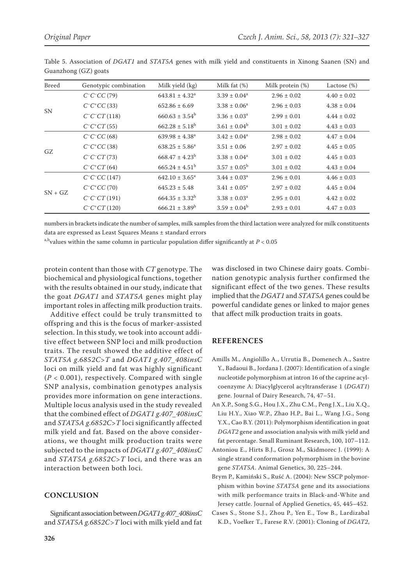| <b>Breed</b> | Genotypic combination | Milk yield (kg)           | Milk fat $(\%)$         | Milk protein (%) | Lactose $(\%)$  |
|--------------|-----------------------|---------------------------|-------------------------|------------------|-----------------|
| <b>SN</b>    | $C^{-}C^{-}CC(79)$    | $643.81 \pm 4.32^a$       | $3.39 \pm 0.04^a$       | $2.96 \pm 0.02$  | $4.40 \pm 0.02$ |
|              | $C^{-}C^{+}CC(33)$    | $652.86 \pm 6.69$         | $3.38 \pm 0.06^a$       | $2.96 \pm 0.03$  | $4.38 \pm 0.04$ |
|              | $C^{-}C^{-}CT(118)$   | $660.63 \pm 3.54^b$       | $3.36 \pm 0.03^a$       | $2.99 \pm 0.01$  | $4.44 \pm 0.02$ |
|              | $C^{-}C^{+}CT(55)$    | $662.28 \pm 5.18^b$       | $3.61 \pm 0.04^b$       | $3.01 \pm 0.02$  | $4.43 \pm 0.03$ |
| GZ           | $C^{-}C^{-}CC(68)$    | $639.98 \pm 4.38^a$       | $3.42 \pm 0.04^a$       | $2.98 \pm 0.02$  | $4.47 \pm 0.04$ |
|              | $C^{-}C^{+}CC(38)$    | $638.25 \pm 5.86^a$       | $3.51 \pm 0.06$         | $2.97 \pm 0.02$  | $4.45 \pm 0.05$ |
|              | $C^{-}C^{-}CT(73)$    | $668.47 \pm 4.23^b$       | $3.38 \pm 0.04^a$       | $3.01 \pm 0.02$  | $4.45 \pm 0.03$ |
|              | $C^{-}C^{+}CT(64)$    | $665.24 \pm 4.51^{\circ}$ | $3.57 \pm 0.05^{\rm b}$ | $3.01 \pm 0.02$  | $4.43 \pm 0.04$ |
| $SN + GZ$    | $C^{-}C^{-}CC(147)$   | $642.10 \pm 3.65^a$       | $3.44 \pm 0.03^a$       | $2.96 \pm 0.01$  | $4.46 \pm 0.03$ |
|              | $C^{-}C^{+}CC(70)$    | $645.23 \pm 5.48$         | $3.41 \pm 0.05^a$       | $2.97 \pm 0.02$  | $4.45 \pm 0.04$ |
|              | $C^{-}C^{-}CT(191)$   | $664.35 \pm 3.32^b$       | $3.38 \pm 0.03^a$       | $2.95 \pm 0.01$  | $4.42 \pm 0.02$ |
|              | $C^{-}C^{+}CT(120)$   | $666.21 \pm 3.89^b$       | $3.59 \pm 0.04^b$       | $2.93 \pm 0.01$  | $4.47 \pm 0.03$ |

Table 5. Association of *DGAT1* and *STAT5A* genes with milk yield and constituents in Xinong Saanen (SN) and Guanzhong (GZ) goats

numbers in brackets indicate the number of samples, milk samples from the third lactation were analyzed for milk constituents data are expressed as Least Squares Means ± standard errors

a,b<sub>values</sub> within the same column in particular population differ significantly at  $P < 0.05$ 

protein content than those with *CT* genotype. The biochemical and physiological functions, together with the results obtained in our study, indicate that the goat *DGAT1* and *STAT5A* genes might play important roles in affecting milk production traits.

Additive effect could be truly transmitted to offspring and this is the focus of marker-assisted selection. In this study, we took into account additive effect between SNP loci and milk production traits. The result showed the additive effect of *STAT5A g*.*6852C*>*T* and *DGAT1 g*.*407\_408insC* loci on milk yield and fat was highly significant  $(P < 0.001)$ , respectively. Compared with single SNP analysis, combination genotypes analysis provides more information on gene interactions. Multiple locus analysis used in the study revealed that the combined effect of *DGAT1 g*.*407\_408insC* and *STAT5A g*.*6852C*>*T* loci significantly affected milk yield and fat. Based on the above considerations, we thought milk production traits were subjected to the impacts of *DGAT1 g*.*407\_408insC* and *STAT5A g*.*6852C*>*T* loci, and there was an interaction between both loci.

# **CONCLUSION**

Significant association between *DGAT1 g.407\_408insC* and *STAT5A g.6852C>T* loci with milk yield and fat was disclosed in two Chinese dairy goats. Combination genotypic analysis further confirmed the significant effect of the two genes. These results implied that the *DGAT1* and *STAT5A* genes could be powerful candidate genes or linked to major genes that affect milk production traits in goats.

# **REFERENCES**

- Amills M., Angiolillo A., Urrutia B., Domenech A., Sastre Y., Badaoui B., Jordana J. (2007): Identification of a single nucleotide polymorphism at intron 16 of the caprine acylcoenzyme A: Diacylglycerol acyltransferase 1 (*DGAT1*) gene. Journal of Dairy Research, 74, 47–51.
- An X.P., Song S.G., Hou J.X., Zhu C.M., Peng J.X., Liu X.Q., Liu H.Y., Xiao W.P., Zhao H.P., Bai L., Wang J.G., Song Y.X., Cao B.Y. (2011): Polymorphism identification in goat *DGAT2* gene and association analysis with milk yield and fat percentage. Small Ruminant Research, 100, 107–112.
- Antoniou E., Hirts B.J., Grosz M., Skidmorec J. (1999): A single strand conformation polymorphism in the bovine gene *STAT5A*. Animal Genetics, 30, 225–244.
- Brym P., Kamiński S., Ruść A. (2004): New SSCP polymorphism within bovine *STAT5A* gene and its associations with milk performance traits in Black-and-White and Jersey cattle. Journal of Applied Genetics, 45, 445–452.
- Cases S., Stone S.J., Zhou P., Yen E., Tow B., Lardizabal K.D., Voelker T., Farese R.V. (2001): Cloning of *DGAT2*,